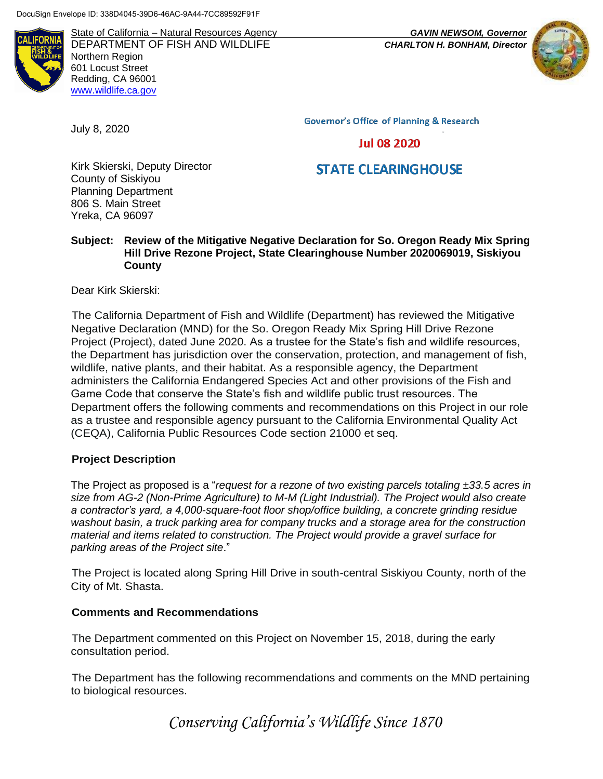**II IFORNI** 

State of California – Natural Resources Agency *GAVIN NEWSOM, Governor* DEPARTMENT OF FISH AND WILDLIFE *CHARLTON H. BONHAM, Director*  Northern Region 601 Locust Street Redding, CA 96001 [www.wildlife.ca.gov](http://www.cdfw.ca.gov/)



**Governor's Office of Planning & Research** 

**Jul 08 2020** 

## **STATE CLEARINGHOUSE**

Kirk Skierski, Deputy Director County of Siskiyou Planning Department 806 S. Main Street Yreka, CA 96097

**Subject: Review of the Mitigative Negative Declaration for So. Oregon Ready Mix Spring Hill Drive Rezone Project, State Clearinghouse Number 2020069019, Siskiyou County**

Dear Kirk Skierski:

July 8, 2020

The California Department of Fish and Wildlife (Department) has reviewed the Mitigative Negative Declaration (MND) for the So. Oregon Ready Mix Spring Hill Drive Rezone Project (Project), dated June 2020. As a trustee for the State's fish and wildlife resources, the Department has jurisdiction over the conservation, protection, and management of fish, wildlife, native plants, and their habitat. As a responsible agency, the Department administers the California Endangered Species Act and other provisions of the Fish and Game Code that conserve the State's fish and wildlife public trust resources. The Department offers the following comments and recommendations on this Project in our role as a trustee and responsible agency pursuant to the California Environmental Quality Act (CEQA), California Public Resources Code section 21000 et seq.

## **Project Description**

The Project as proposed is a "*request for a rezone of two existing parcels totaling ±33.5 acres in size from AG-2 (Non-Prime Agriculture) to M-M (Light Industrial). The Project would also create a contractor's yard, a 4,000-square-foot floor shop/office building, a concrete grinding residue washout basin, a truck parking area for company trucks and a storage area for the construction material and items related to construction. The Project would provide a gravel surface for parking areas of the Project site*."

The Project is located along Spring Hill Drive in south-central Siskiyou County, north of the City of Mt. Shasta.

## **Comments and Recommendations**

The Department commented on this Project on November 15, 2018, during the early consultation period.

The Department has the following recommendations and comments on the MND pertaining to biological resources.

*Conserving California's Wildlife Since 1870*